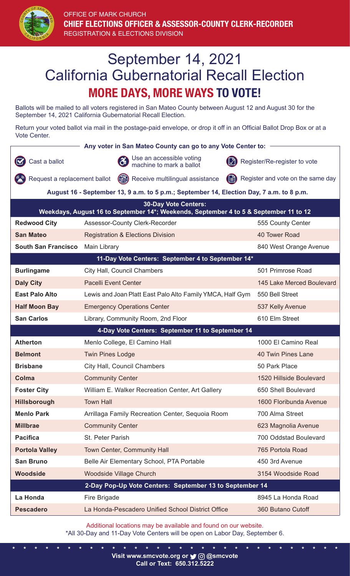

## September 14, 2021 California Gubernatorial Recall Election **MORE DAYS, MORE WAYS TO VOTE!**

Ballots will be mailed to all voters registered in San Mateo County between August 12 and August 30 for the September 14, 2021 California Gubernatorial Recall Election.

Return your voted ballot via mail in the postage-paid envelope, or drop it off in an Official Ballot Drop Box or at a Vote Center.

| Any voter in San Mateo County can go to any Vote Center to:                                                          |                                                           |                                   |  |  |
|----------------------------------------------------------------------------------------------------------------------|-----------------------------------------------------------|-----------------------------------|--|--|
| Cast a ballot                                                                                                        | Use an accessible voting<br>machine to mark a ballot      | Register/Re-register to vote      |  |  |
| Request a replacement ballot                                                                                         | Receive multilingual assistance<br>(E)                    | Register and vote on the same day |  |  |
| August 16 - September 13, 9 a.m. to 5 p.m.; September 14, Election Day, 7 a.m. to 8 p.m.                             |                                                           |                                   |  |  |
| <b>30-Day Vote Centers:</b><br>Weekdays, August 16 to September 14*; Weekends, September 4 to 5 & September 11 to 12 |                                                           |                                   |  |  |
| <b>Redwood City</b>                                                                                                  | Assessor-County Clerk-Recorder                            | 555 County Center                 |  |  |
| <b>San Mateo</b>                                                                                                     |                                                           | 40 Tower Road                     |  |  |
|                                                                                                                      | <b>Registration &amp; Elections Division</b>              |                                   |  |  |
| <b>South San Francisco</b>                                                                                           | Main Library                                              | 840 West Orange Avenue            |  |  |
| 11-Day Vote Centers: September 4 to September 14*                                                                    |                                                           |                                   |  |  |
| <b>Burlingame</b>                                                                                                    | City Hall, Council Chambers                               | 501 Primrose Road                 |  |  |
| <b>Daly City</b>                                                                                                     | <b>Pacelli Event Center</b>                               | 145 Lake Merced Boulevard         |  |  |
| <b>East Palo Alto</b>                                                                                                | Lewis and Joan Platt East Palo Alto Family YMCA, Half Gym | 550 Bell Street                   |  |  |
| <b>Half Moon Bay</b>                                                                                                 | <b>Emergency Operations Center</b>                        | 537 Kelly Avenue                  |  |  |
| <b>San Carlos</b>                                                                                                    | Library, Community Room, 2nd Floor                        | 610 Elm Street                    |  |  |
| 4-Day Vote Centers: September 11 to September 14                                                                     |                                                           |                                   |  |  |
| <b>Atherton</b>                                                                                                      | Menlo College, El Camino Hall                             | 1000 El Camino Real               |  |  |
| <b>Belmont</b>                                                                                                       | <b>Twin Pines Lodge</b>                                   | <b>40 Twin Pines Lane</b>         |  |  |
| <b>Brisbane</b>                                                                                                      | City Hall, Council Chambers                               | 50 Park Place                     |  |  |
| <b>Colma</b>                                                                                                         | <b>Community Center</b>                                   | 1520 Hillside Boulevard           |  |  |
| <b>Foster City</b>                                                                                                   | William E. Walker Recreation Center, Art Gallery          | 650 Shell Boulevard               |  |  |
| <b>Hillsborough</b>                                                                                                  | <b>Town Hall</b>                                          | 1600 Floribunda Avenue            |  |  |
| <b>Menlo Park</b>                                                                                                    | Arrillaga Family Recreation Center, Sequoia Room          | 700 Alma Street                   |  |  |
| <b>Millbrae</b>                                                                                                      | <b>Community Center</b>                                   | 623 Magnolia Avenue               |  |  |
| <b>Pacifica</b>                                                                                                      | St. Peter Parish                                          | 700 Oddstad Boulevard             |  |  |
| <b>Portola Valley</b>                                                                                                | Town Center, Community Hall                               | 765 Portola Road                  |  |  |
| <b>San Bruno</b>                                                                                                     | Belle Air Elementary School, PTA Portable                 | 450 3rd Avenue                    |  |  |
| <b>Woodside</b>                                                                                                      | <b>Woodside Village Church</b>                            | 3154 Woodside Road                |  |  |
| 2-Day Pop-Up Vote Centers: September 13 to September 14                                                              |                                                           |                                   |  |  |
| La Honda                                                                                                             | Fire Brigade                                              | 8945 La Honda Road                |  |  |
| <b>Pescadero</b>                                                                                                     | La Honda-Pescadero Unified School District Office         | 360 Butano Cutoff                 |  |  |
|                                                                                                                      |                                                           |                                   |  |  |

Additional locations may be available and found on our website. \*All 30-Day and 11-Day Vote Centers will be open on Labor Day, September 6.